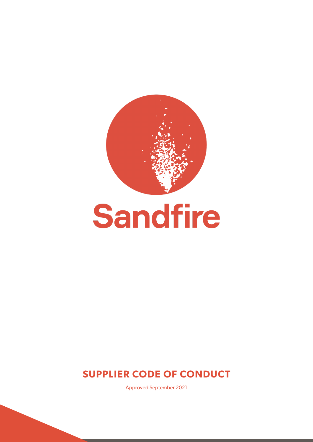



Approved September 2021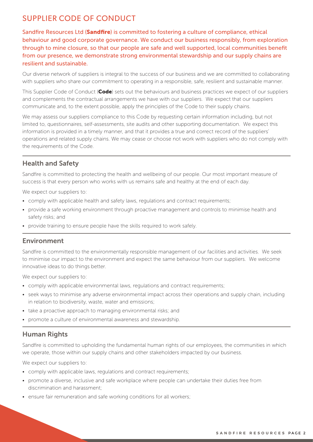Sandfire Resources Ltd (Sandfire) is committed to fostering a culture of compliance, ethical behaviour and good corporate governance. We conduct our business responsibly, from exploration through to mine closure, so that our people are safe and well supported, local communities benefit from our presence, we demonstrate strong environmental stewardship and our supply chains are resilient and sustainable.

Our diverse network of suppliers is integral to the success of our business and we are committed to collaborating with suppliers who share our commitment to operating in a responsible, safe, resilient and sustainable manner.

This Supplier Code of Conduct (Code) sets out the behaviours and business practices we expect of our suppliers and complements the contractual arrangements we have with our suppliers. We expect that our suppliers communicate and, to the extent possible, apply the principles of the Code to their supply chains.

We may assess our suppliers compliance to this Code by requesting certain information including, but not limited to, questionnaires, self-assessments, site audits and other supporting documentation. We expect this information is provided in a timely manner, and that it provides a true and correct record of the suppliers' operations and related supply chains. We may cease or choose not work with suppliers who do not comply with the requirements of the Code.

### Health and Safety

Sandfire is committed to protecting the health and wellbeing of our people. Our most important measure of success is that every person who works with us remains safe and healthy at the end of each day.

We expect our suppliers to:

- comply with applicable health and safety laws, regulations and contract requirements;
- provide a safe working environment through proactive management and controls to minimise health and safety risks; and
- provide training to ensure people have the skills required to work safely.

#### Environment

Sandfire is committed to the environmentally responsible management of our facilities and activities. We seek to minimise our impact to the environment and expect the same behaviour from our suppliers. We welcome innovative ideas to do things better.

We expect our suppliers to:

- comply with applicable environmental laws, regulations and contract requirements;
- seek ways to minimise any adverse environmental impact across their operations and supply chain, including in relation to biodiversity, waste, water and emissions;
- take a proactive approach to managing environmental risks; and
- promote a culture of environmental awareness and stewardship.

### Human Rights

Sandfire is committed to upholding the fundamental human rights of our employees, the communities in which we operate, those within our supply chains and other stakeholders impacted by our business.

We expect our suppliers to:

- comply with applicable laws, regulations and contract requirements;
- promote a diverse, inclusive and safe workplace where people can undertake their duties free from discrimination and harassment;
- ensure fair remuneration and safe working conditions for all workers;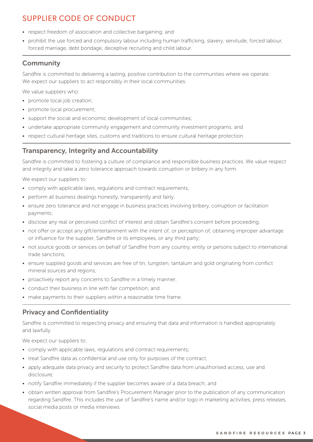- respect freedom of association and collective bargaining; and
- prohibit the use forced and compulsory labour including human trafficking, slavery, servitude, forced labour, forced marriage, debt bondage, deceptive recruiting and child labour.

#### **Community**

Sandfire is committed to delivering a lasting, positive contribution to the communities where we operate. We expect our suppliers to act responsibly in their local communities.

We value suppliers who:

- promote local job creation;
- promote local procurement;
- support the social and economic development of local communities;
- undertake appropriate community engagement and community investment programs; and
- respect cultural heritage sites, customs and traditions to ensure cultural heritage protection.

#### Transparency, Integrity and Accountability

Sandfire is committed to fostering a culture of compliance and responsible business practices. We value respect and integrity and take a zero tolerance approach towards corruption or bribery in any form.

We expect our suppliers to:

- comply with applicable laws, regulations and contract requirements;
- perform all business dealings honestly, transparently and fairly;
- ensure zero tolerance and not engage in business practices involving bribery, corruption or facilitation payments;
- disclose any real or perceived conflict of interest and obtain Sandfire's consent before proceeding;
- not offer or accept any gift/entertainment with the intent of, or perception of, obtaining improper advantage or influence for the supplier, Sandfire or its employees, or any third party;
- not source goods or services on behalf of Sandfire from any country, entity or persons subject to international trade sanctions;
- ensure supplied goods and services are free of tin, tungsten, tantalum and gold originating from conflict mineral sources and regions;
- proactively report any concerns to Sandfire in a timely manner;
- conduct their business in line with fair competition; and
- make payments to their suppliers within a reasonable time frame.

### Privacy and Confidentiality

Sandfire is committed to respecting privacy and ensuring that data and information is handled appropriately and lawfully.

We expect our suppliers to:

- comply with applicable laws, regulations and contract requirements;
- treat Sandfire data as confidential and use only for purposes of the contract;
- apply adequate data privacy and security to protect Sandfire data from unauthorised access, use and disclosure;
- notify Sandfire immediately if the supplier becomes aware of a data breach; and
- obtain written approval from Sandfire's Procurement Manager prior to the publication of any communication regarding Sandfire. This includes the use of Sandfire's name and/or logo in marketing activities, press releases, social media posts or media interviews.